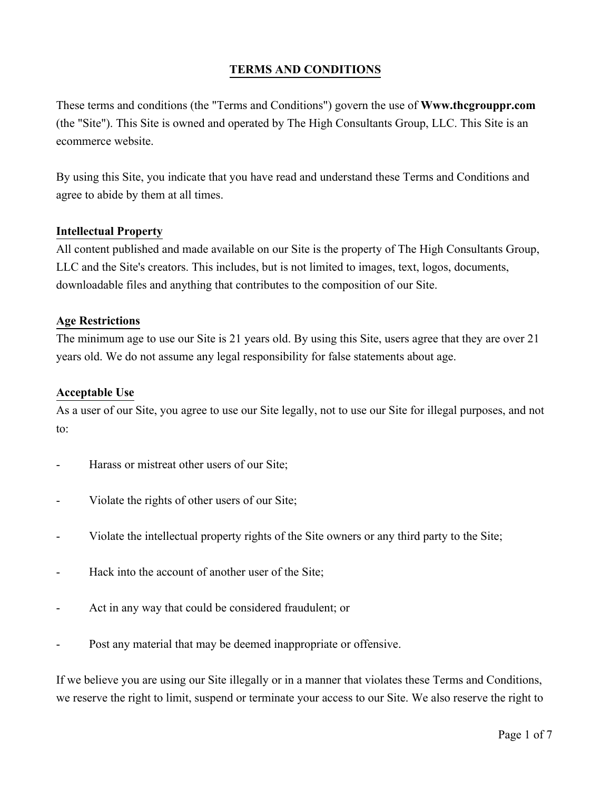# **TERMS AND CONDITIONS**

These terms and conditions (the "Terms and Conditions") govern the use of **Www.thcgrouppr.com** (the "Site"). This Site is owned and operated by The High Consultants Group, LLC. This Site is an ecommerce website.

By using this Site, you indicate that you have read and understand these Terms and Conditions and agree to abide by them at all times.

#### **Intellectual Property**

All content published and made available on our Site is the property of The High Consultants Group, LLC and the Site's creators. This includes, but is not limited to images, text, logos, documents, downloadable files and anything that contributes to the composition of our Site.

#### **Age Restrictions**

The minimum age to use our Site is 21 years old. By using this Site, users agree that they are over 21 years old. We do not assume any legal responsibility for false statements about age.

#### **Acceptable Use**

As a user of our Site, you agree to use our Site legally, not to use our Site for illegal purposes, and not to:

- Harass or mistreat other users of our Site;
- Violate the rights of other users of our Site;
- Violate the intellectual property rights of the Site owners or any third party to the Site;
- Hack into the account of another user of the Site;
- Act in any way that could be considered fraudulent; or
- Post any material that may be deemed inappropriate or offensive.

If we believe you are using our Site illegally or in a manner that violates these Terms and Conditions, we reserve the right to limit, suspend or terminate your access to our Site. We also reserve the right to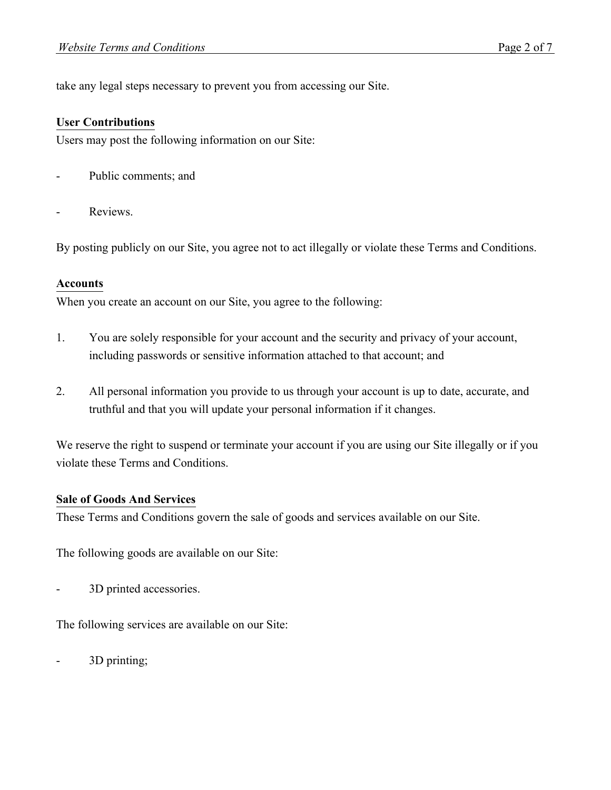take any legal steps necessary to prevent you from accessing our Site.

#### **User Contributions**

Users may post the following information on our Site:

- Public comments; and
- Reviews.

By posting publicly on our Site, you agree not to act illegally or violate these Terms and Conditions.

#### **Accounts**

When you create an account on our Site, you agree to the following:

- 1. You are solely responsible for your account and the security and privacy of your account, including passwords or sensitive information attached to that account; and
- 2. All personal information you provide to us through your account is up to date, accurate, and truthful and that you will update your personal information if it changes.

We reserve the right to suspend or terminate your account if you are using our Site illegally or if you violate these Terms and Conditions.

#### **Sale of Goods And Services**

These Terms and Conditions govern the sale of goods and services available on our Site.

The following goods are available on our Site:

3D printed accessories.

The following services are available on our Site:

- 3D printing;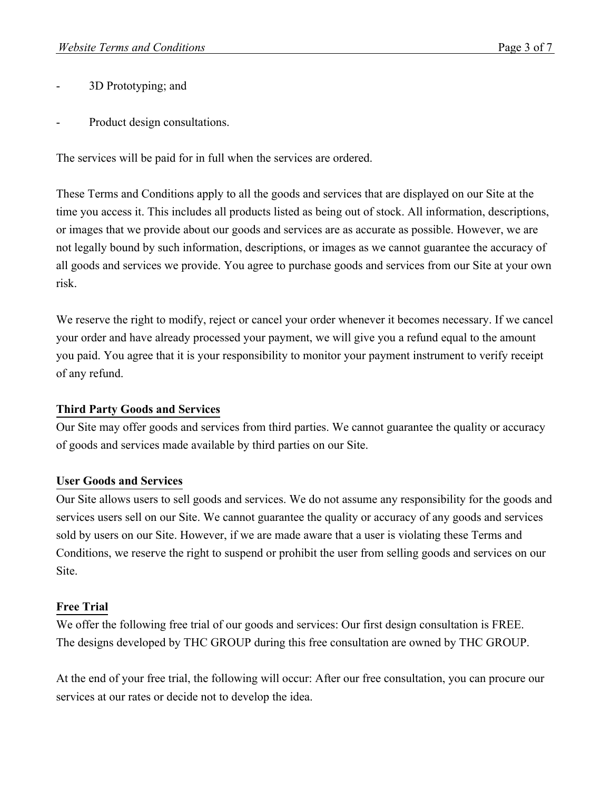- 3D Prototyping; and
- Product design consultations.

The services will be paid for in full when the services are ordered.

These Terms and Conditions apply to all the goods and services that are displayed on our Site at the time you access it. This includes all products listed as being out of stock. All information, descriptions, or images that we provide about our goods and services are as accurate as possible. However, we are not legally bound by such information, descriptions, or images as we cannot guarantee the accuracy of all goods and services we provide. You agree to purchase goods and services from our Site at your own risk.

We reserve the right to modify, reject or cancel your order whenever it becomes necessary. If we cancel your order and have already processed your payment, we will give you a refund equal to the amount you paid. You agree that it is your responsibility to monitor your payment instrument to verify receipt of any refund.

## **Third Party Goods and Services**

Our Site may offer goods and services from third parties. We cannot guarantee the quality or accuracy of goods and services made available by third parties on our Site.

## **User Goods and Services**

Our Site allows users to sell goods and services. We do not assume any responsibility for the goods and services users sell on our Site. We cannot guarantee the quality or accuracy of any goods and services sold by users on our Site. However, if we are made aware that a user is violating these Terms and Conditions, we reserve the right to suspend or prohibit the user from selling goods and services on our Site.

# **Free Trial**

We offer the following free trial of our goods and services: Our first design consultation is FREE. The designs developed by THC GROUP during this free consultation are owned by THC GROUP.

At the end of your free trial, the following will occur: After our free consultation, you can procure our services at our rates or decide not to develop the idea.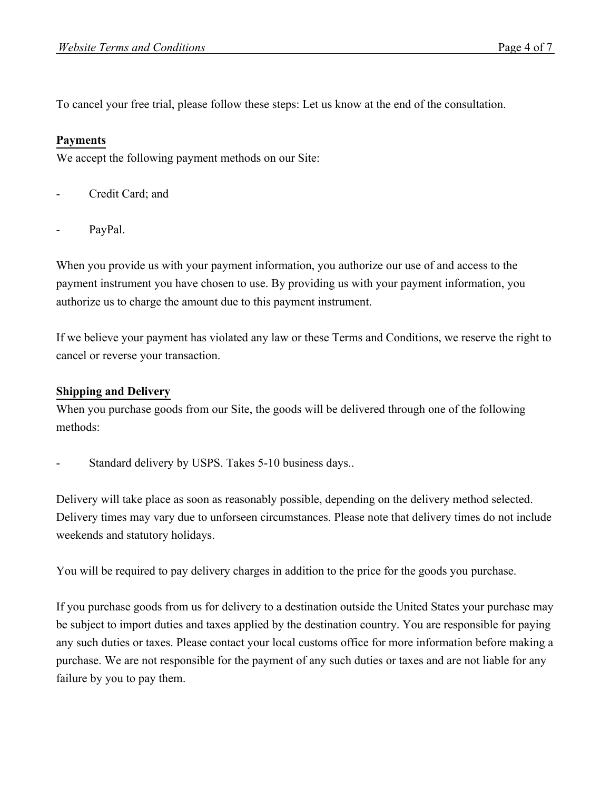To cancel your free trial, please follow these steps: Let us know at the end of the consultation.

## **Payments**

We accept the following payment methods on our Site:

- Credit Card; and
- PayPal.

When you provide us with your payment information, you authorize our use of and access to the payment instrument you have chosen to use. By providing us with your payment information, you authorize us to charge the amount due to this payment instrument.

If we believe your payment has violated any law or these Terms and Conditions, we reserve the right to cancel or reverse your transaction.

### **Shipping and Delivery**

When you purchase goods from our Site, the goods will be delivered through one of the following methods:

Standard delivery by USPS. Takes 5-10 business days..

Delivery will take place as soon as reasonably possible, depending on the delivery method selected. Delivery times may vary due to unforseen circumstances. Please note that delivery times do not include weekends and statutory holidays.

You will be required to pay delivery charges in addition to the price for the goods you purchase.

If you purchase goods from us for delivery to a destination outside the United States your purchase may be subject to import duties and taxes applied by the destination country. You are responsible for paying any such duties or taxes. Please contact your local customs office for more information before making a purchase. We are not responsible for the payment of any such duties or taxes and are not liable for any failure by you to pay them.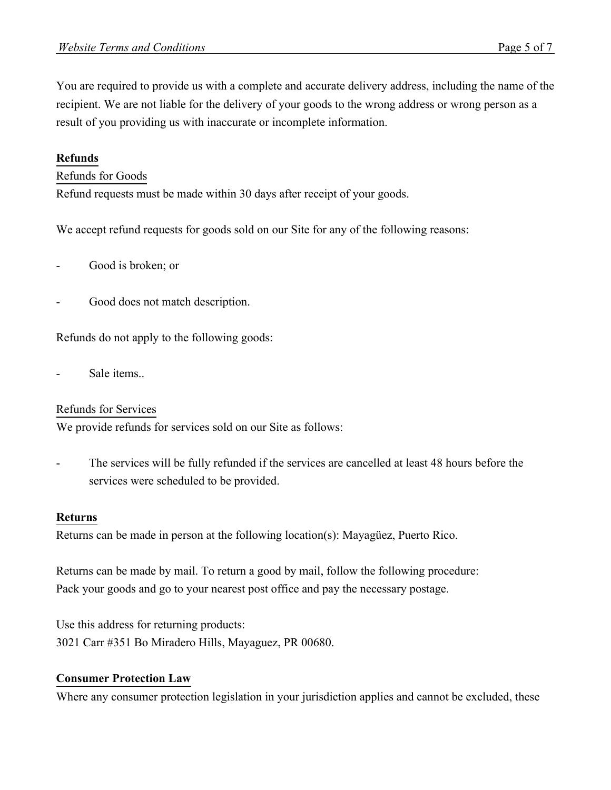You are required to provide us with a complete and accurate delivery address, including the name of the recipient. We are not liable for the delivery of your goods to the wrong address or wrong person as a result of you providing us with inaccurate or incomplete information.

## **Refunds**

#### Refunds for Goods

Refund requests must be made within 30 days after receipt of your goods.

We accept refund requests for goods sold on our Site for any of the following reasons:

- Good is broken; or
- Good does not match description.

Refunds do not apply to the following goods:

Sale items...

#### Refunds for Services

We provide refunds for services sold on our Site as follows:

The services will be fully refunded if the services are cancelled at least 48 hours before the services were scheduled to be provided.

#### **Returns**

Returns can be made in person at the following location(s): Mayagüez, Puerto Rico.

Returns can be made by mail. To return a good by mail, follow the following procedure: Pack your goods and go to your nearest post office and pay the necessary postage.

Use this address for returning products: 3021 Carr #351 Bo Miradero Hills, Mayaguez, PR 00680.

#### **Consumer Protection Law**

Where any consumer protection legislation in your jurisdiction applies and cannot be excluded, these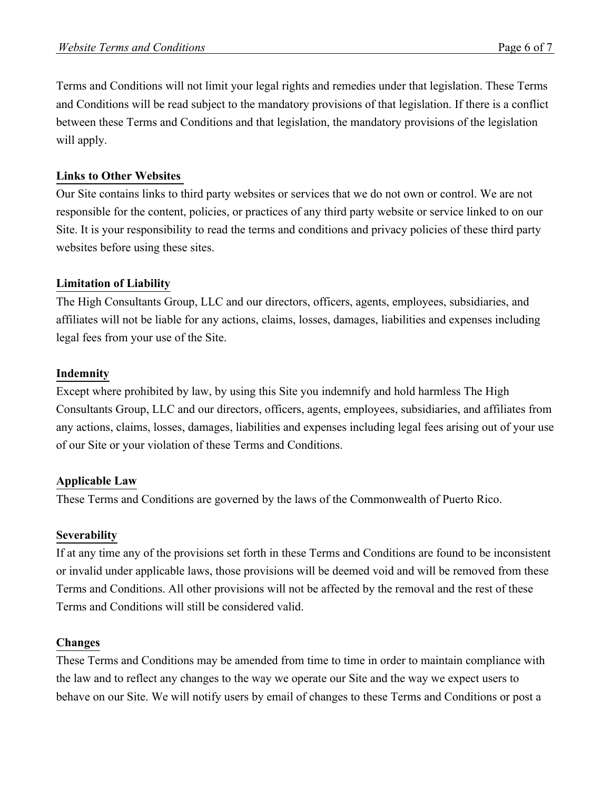Terms and Conditions will not limit your legal rights and remedies under that legislation. These Terms and Conditions will be read subject to the mandatory provisions of that legislation. If there is a conflict between these Terms and Conditions and that legislation, the mandatory provisions of the legislation will apply.

## **Links to Other Websites**

Our Site contains links to third party websites or services that we do not own or control. We are not responsible for the content, policies, or practices of any third party website or service linked to on our Site. It is your responsibility to read the terms and conditions and privacy policies of these third party websites before using these sites.

# **Limitation of Liability**

The High Consultants Group, LLC and our directors, officers, agents, employees, subsidiaries, and affiliates will not be liable for any actions, claims, losses, damages, liabilities and expenses including legal fees from your use of the Site.

## **Indemnity**

Except where prohibited by law, by using this Site you indemnify and hold harmless The High Consultants Group, LLC and our directors, officers, agents, employees, subsidiaries, and affiliates from any actions, claims, losses, damages, liabilities and expenses including legal fees arising out of your use of our Site or your violation of these Terms and Conditions.

# **Applicable Law**

These Terms and Conditions are governed by the laws of the Commonwealth of Puerto Rico.

## **Severability**

If at any time any of the provisions set forth in these Terms and Conditions are found to be inconsistent or invalid under applicable laws, those provisions will be deemed void and will be removed from these Terms and Conditions. All other provisions will not be affected by the removal and the rest of these Terms and Conditions will still be considered valid.

## **Changes**

These Terms and Conditions may be amended from time to time in order to maintain compliance with the law and to reflect any changes to the way we operate our Site and the way we expect users to behave on our Site. We will notify users by email of changes to these Terms and Conditions or post a